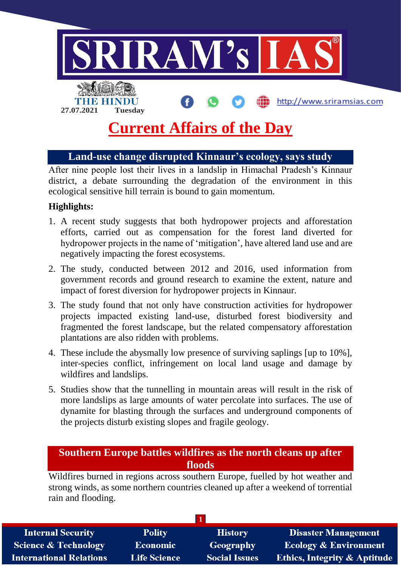

# **Current Affairs of the Day**

# **Land-use change disrupted Kinnaur's ecology, says study**

After nine people lost their lives in a landslip in Himachal Pradesh's Kinnaur district, a debate surrounding the degradation of the environment in this ecological sensitive hill terrain is bound to gain momentum.

#### **Highlights:**

- 1. A recent study suggests that both hydropower projects and afforestation efforts, carried out as compensation for the forest land diverted for hydropower projects in the name of 'mitigation', have altered land use and are negatively impacting the forest ecosystems.
- 2. The study, conducted between 2012 and 2016, used information from government records and ground research to examine the extent, nature and impact of forest diversion for hydropower projects in Kinnaur.
- 3. The study found that not only have construction activities for hydropower projects impacted existing land-use, disturbed forest biodiversity and fragmented the forest landscape, but the related compensatory afforestation plantations are also ridden with problems.
- 4. These include the abysmally low presence of surviving saplings [up to 10%], inter-species conflict, infringement on local land usage and damage by wildfires and landslips.
- 5. Studies show that the tunnelling in mountain areas will result in the risk of more landslips as large amounts of water percolate into surfaces. The use of dynamite for blasting through the surfaces and underground components of the projects disturb existing slopes and fragile geology.

## **Southern Europe battles wildfires as the north cleans up after floods**

Wildfires burned in regions across southern Europe, fuelled by hot weather and strong winds, as some northern countries cleaned up after a weekend of torrential rain and flooding.

| <b>Internal Security</b>        | <b>Polity</b>       | <b>History</b>       | <b>Disaster Management</b>              |  |  |
|---------------------------------|---------------------|----------------------|-----------------------------------------|--|--|
| <b>Science &amp; Technology</b> | <b>Economic</b>     | <b>Geography</b>     | <b>Ecology &amp; Environment</b>        |  |  |
| <b>International Relations</b>  | <b>Life Science</b> | <b>Social Issues</b> | <b>Ethics, Integrity &amp; Aptitude</b> |  |  |